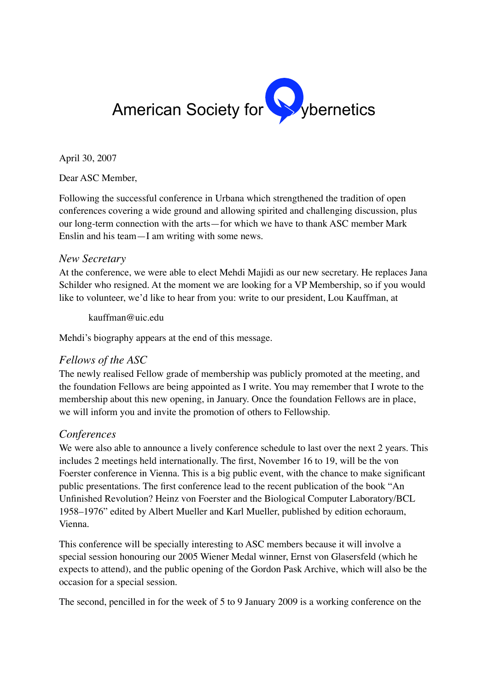

April 30, 2007

Dear ASC Member,

Following the successful conference in Urbana which strengthened the tradition of open conferences covering a wide ground and allowing spirited and challenging discussion, plus our long-term connection with the arts—for which we have to thank ASC member Mark Enslin and his team—I am writing with some news.

## *New Secretary*

At the conference, we were able to elect Mehdi Majidi as our new secretary. He replaces Jana Schilder who resigned. At the moment we are looking for a VP Membership, so if you would like to volunteer, we'd like to hear from you: write to our president, Lou Kauffman, at

kauffman@uic.edu

Mehdi's biography appears at the end of this message.

## *Fellows of the ASC*

The newly realised Fellow grade of membership was publicly promoted at the meeting, and the foundation Fellows are being appointed as I write. You may remember that I wrote to the membership about this new opening, in January. Once the foundation Fellows are in place, we will inform you and invite the promotion of others to Fellowship.

## *Conferences*

We were also able to announce a lively conference schedule to last over the next 2 years. This includes 2 meetings held internationally. The first, November 16 to 19, will be the von Foerster conference in Vienna. This is a big public event, with the chance to make significant public presentations. The first conference lead to the recent publication of the book "An Unfinished Revolution? Heinz von Foerster and the Biological Computer Laboratory/BCL 1958–1976" edited by Albert Mueller and Karl Mueller, published by edition echoraum, Vienna.

This conference will be specially interesting to ASC members because it will involve a special session honouring our 2005 Wiener Medal winner, Ernst von Glasersfeld (which he expects to attend), and the public opening of the Gordon Pask Archive, which will also be the occasion for a special session.

The second, pencilled in for the week of 5 to 9 January 2009 is a working conference on the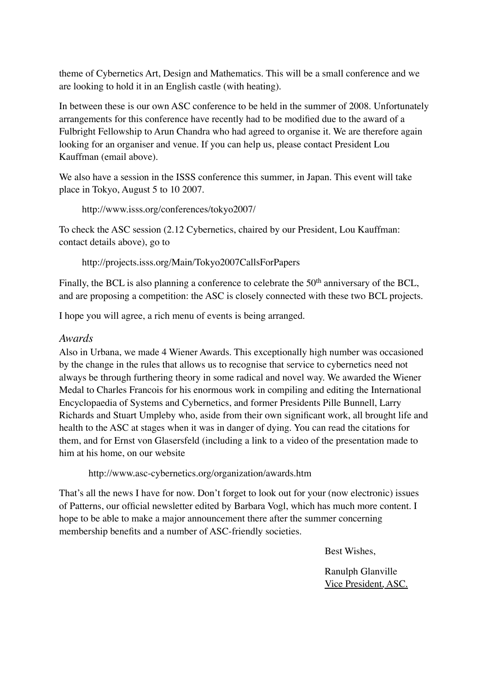theme of Cybernetics Art, Design and Mathematics. This will be a small conference and we are looking to hold it in an English castle (with heating).

In between these is our own ASC conference to be held in the summer of 2008. Unfortunately arrangements for this conference have recently had to be modified due to the award of a Fulbright Fellowship to Arun Chandra who had agreed to organise it. We are therefore again looking for an organiser and venue. If you can help us, please contact President Lou Kauffman (email above).

We also have a session in the ISSS conference this summer, in Japan. This event will take place in Tokyo, August 5 to 10 2007.

```
http://www.isss.org/conferences/tokyo2007/
```
To check the ASC session (2.12 Cybernetics, chaired by our President, Lou Kauffman: contact details above), go to

http://projects.isss.org/Main/Tokyo2007CallsForPapers

Finally, the BCL is also planning a conference to celebrate the  $50<sup>th</sup>$  anniversary of the BCL. and are proposing a competition: the ASC is closely connected with these two BCL projects.

I hope you will agree, a rich menu of events is being arranged.

## *Awards*

Also in Urbana, we made 4 Wiener Awards. This exceptionally high number was occasioned by the change in the rules that allows us to recognise that service to cybernetics need not always be through furthering theory in some radical and novel way. We awarded the Wiener Medal to Charles Francois for his enormous work in compiling and editing the International Encyclopaedia of Systems and Cybernetics, and former Presidents Pille Bunnell, Larry Richards and Stuart Umpleby who, aside from their own significant work, all brought life and health to the ASC at stages when it was in danger of dying. You can read the citations for them, and for Ernst von Glasersfeld (including a link to a video of the presentation made to him at his home, on our website

http://www.asc-cybernetics.org/organization/awards.htm

That's all the news I have for now. Don't forget to look out for your (now electronic) issues of Patterns, our official newsletter edited by Barbara Vogl, which has much more content. I hope to be able to make a major announcement there after the summer concerning membership benefits and a number of ASC-friendly societies.

Best Wishes,

Ranulph Glanville Vice President, ASC.